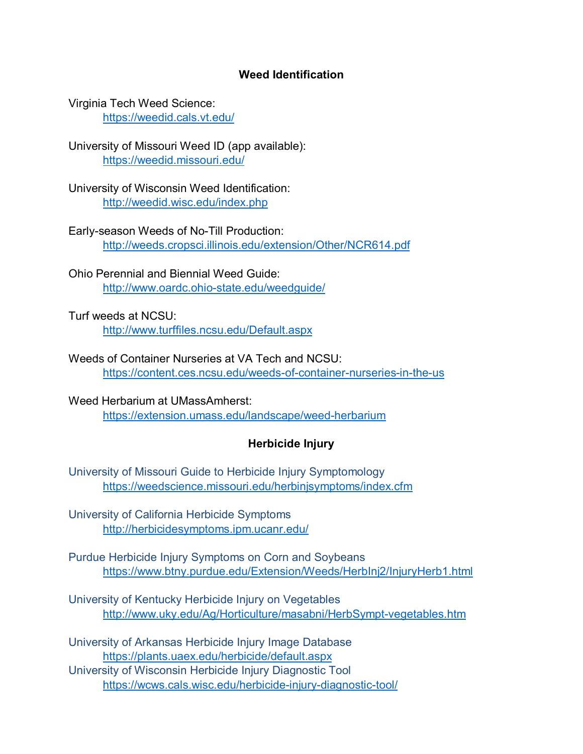## **Weed Identification**

Virginia Tech Weed Science: <https://weedid.cals.vt.edu/>

University of Missouri Weed ID (app available): <https://weedid.missouri.edu/>

University of Wisconsin Weed Identification: <http://weedid.wisc.edu/index.php>

Early-season Weeds of No-Till Production: <http://weeds.cropsci.illinois.edu/extension/Other/NCR614.pdf>

Ohio Perennial and Biennial Weed Guide: <http://www.oardc.ohio-state.edu/weedguide/>

Turf weeds at NCSU: <http://www.turffiles.ncsu.edu/Default.aspx>

Weeds of Container Nurseries at VA Tech and NCSU: <https://content.ces.ncsu.edu/weeds-of-container-nurseries-in-the-us>

Weed Herbarium at UMassAmherst: <https://extension.umass.edu/landscape/weed-herbarium>

## **Herbicide Injury**

University of Missouri Guide to Herbicide Injury Symptomology [https://weedscience.missouri.edu/herbinjsymptoms/index.cfm](https://na01.safelinks.protection.outlook.com/?url=https%3A%2F%2Fweedscience.missouri.edu%2Fherbinjsymptoms%2Findex.cfm&data=02%7C01%7Cthierry.besancon%40rutgers.edu%7Cf6a7095a17084689f5a008d682e7872f%7Cb92d2b234d35447093ff69aca6632ffe%7C1%7C0%7C636840328255733799&sdata=8x3J6L4bUKZ23G%2FXcv%2B7JMmst2Dg%2Fg9KKwHl%2FG6QY54%3D&reserved=0)

University of California Herbicide Symptoms [http://herbicidesymptoms.ipm.ucanr.edu/](https://na01.safelinks.protection.outlook.com/?url=http%3A%2F%2Fherbicidesymptoms.ipm.ucanr.edu%2F&data=02%7C01%7Cthierry.besancon%40rutgers.edu%7Cf6a7095a17084689f5a008d682e7872f%7Cb92d2b234d35447093ff69aca6632ffe%7C1%7C0%7C636840328255733799&sdata=wU86xbZAtz34VSPzcCOR9ZZMPrsrByjHXrmbIDxvu6M%3D&reserved=0)

Purdue Herbicide Injury Symptoms on Corn and Soybeans <https://www.btny.purdue.edu/Extension/Weeds/HerbInj2/InjuryHerb1.html>

University of Kentucky Herbicide Injury on Vegetables <http://www.uky.edu/Ag/Horticulture/masabni/HerbSympt-vegetables.htm>

University of Arkansas Herbicide Injury Image Database <https://plants.uaex.edu/herbicide/default.aspx>

University of Wisconsin Herbicide Injury Diagnostic Tool <https://wcws.cals.wisc.edu/herbicide-injury-diagnostic-tool/>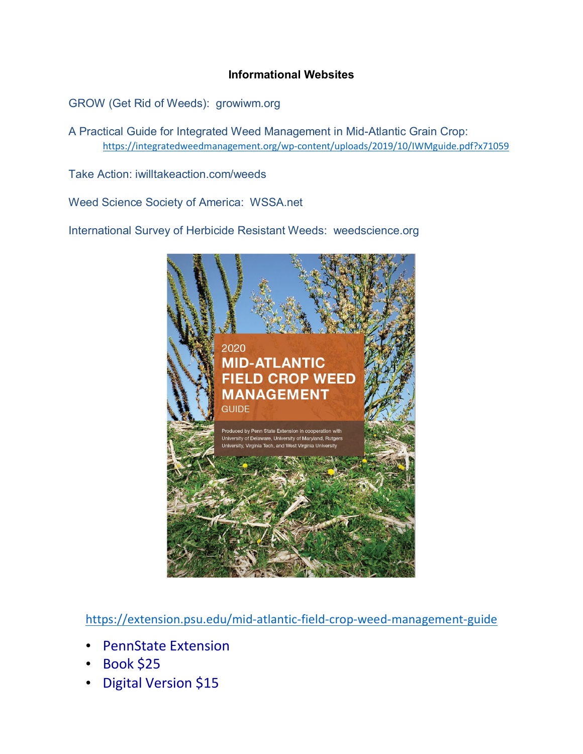## **Informational Websites**

GROW (Get Rid of Weeds): growiwm.org

A Practical Guide for Integrated Weed Management in Mid-Atlantic Grain Crop: <https://integratedweedmanagement.org/wp-content/uploads/2019/10/IWMguide.pdf?x71059>

Take Action: iwilltakeaction.com/weeds

Weed Science Society of America: WSSA.net

International Survey of Herbicide Resistant Weeds: weedscience.org



<https://extension.psu.edu/mid-atlantic-field-crop-weed-management-guide>

- PennState Extension
- Book \$25
- Digital Version \$15